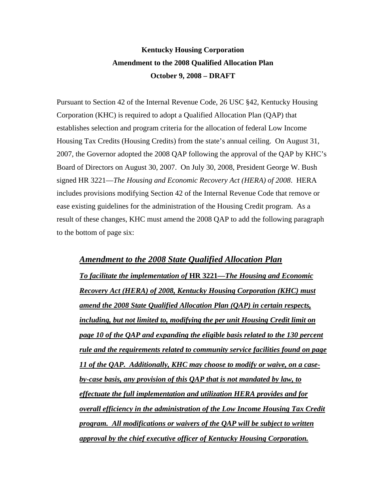# **Kentucky Housing Corporation Amendment to the 2008 Qualified Allocation Plan October 9, 2008 – DRAFT**

Pursuant to Section 42 of the Internal Revenue Code, 26 USC §42, Kentucky Housing Corporation (KHC) is required to adopt a Qualified Allocation Plan (QAP) that establishes selection and program criteria for the allocation of federal Low Income Housing Tax Credits (Housing Credits) from the state's annual ceiling. On August 31, 2007, the Governor adopted the 2008 QAP following the approval of the QAP by KHC's Board of Directors on August 30, 2007. On July 30, 2008, President George W. Bush signed HR 3221—*The Housing and Economic Recovery Act (HERA) of 2008*. HERA includes provisions modifying Section 42 of the Internal Revenue Code that remove or ease existing guidelines for the administration of the Housing Credit program. As a result of these changes, KHC must amend the 2008 QAP to add the following paragraph to the bottom of page six:

*Amendment to the 2008 State Qualified Allocation Plan To facilitate the implementation of* **HR 3221—***The Housing and Economic Recovery Act (HERA) of 2008, Kentucky Housing Corporation (KHC) must amend the 2008 State Qualified Allocation Plan (QAP) in certain respects, including, but not limited to, modifying the per unit Housing Credit limit on page 10 of the QAP and expanding the eligible basis related to the 130 percent rule and the requirements related to community service facilities found on page 11 of the QAP. Additionally, KHC may choose to modify or waive, on a caseby-case basis, any provision of this QAP that is not mandated by law, to effectuate the full implementation and utilization HERA provides and for overall efficiency in the administration of the Low Income Housing Tax Credit program. All modifications or waivers of the QAP will be subject to written approval by the chief executive officer of Kentucky Housing Corporation.*